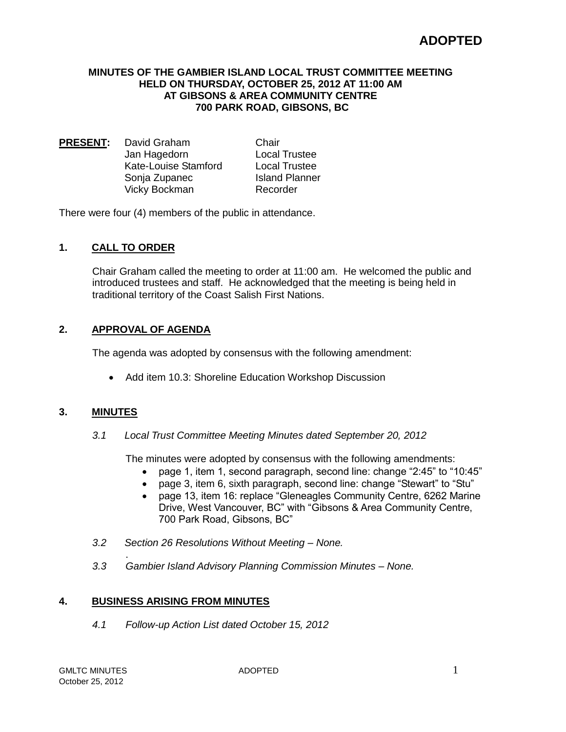# **ADOPTED**

#### **MINUTES OF THE GAMBIER ISLAND LOCAL TRUST COMMITTEE MEETING HELD ON THURSDAY, OCTOBER 25, 2012 AT 11:00 AM AT GIBSONS & AREA COMMUNITY CENTRE 700 PARK ROAD, GIBSONS, BC**

**PRESENT:** David Graham Chair Jan Hagedorn Local Trustee Kate-Louise Stamford Local Trustee Sonja Zupanec Island Planner Vicky Bockman Recorder

There were four (4) members of the public in attendance.

# **1. CALL TO ORDER**

Chair Graham called the meeting to order at 11:00 am. He welcomed the public and introduced trustees and staff. He acknowledged that the meeting is being held in traditional territory of the Coast Salish First Nations.

## **2. APPROVAL OF AGENDA**

The agenda was adopted by consensus with the following amendment:

• Add item 10.3: Shoreline Education Workshop Discussion

## **3. MINUTES**

*3.1 Local Trust Committee Meeting Minutes dated September 20, 2012*

The minutes were adopted by consensus with the following amendments:

- page 1, item 1, second paragraph, second line: change "2:45" to "10:45"
- page 3, item 6, sixth paragraph, second line: change "Stewart" to "Stu"
- page 13, item 16: replace "Gleneagles Community Centre, 6262 Marine Drive, West Vancouver, BC" with "Gibsons & Area Community Centre, 700 Park Road, Gibsons, BC"
- *3.2 Section 26 Resolutions Without Meeting – None.*
- *3.3 Gambier Island Advisory Planning Commission Minutes – None.*

## **4. BUSINESS ARISING FROM MINUTES**

.

*4.1 Follow-up Action List dated October 15, 2012*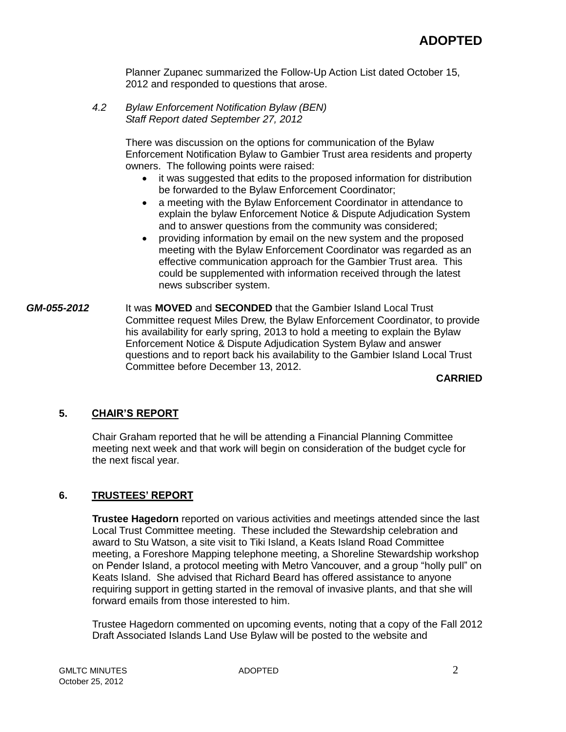Planner Zupanec summarized the Follow-Up Action List dated October 15, 2012 and responded to questions that arose.

*4.2 Bylaw Enforcement Notification Bylaw (BEN) Staff Report dated September 27, 2012*

> There was discussion on the options for communication of the Bylaw Enforcement Notification Bylaw to Gambier Trust area residents and property owners. The following points were raised:

- it was suggested that edits to the proposed information for distribution be forwarded to the Bylaw Enforcement Coordinator;
- a meeting with the Bylaw Enforcement Coordinator in attendance to explain the bylaw Enforcement Notice & Dispute Adjudication System and to answer questions from the community was considered;
- providing information by email on the new system and the proposed meeting with the Bylaw Enforcement Coordinator was regarded as an effective communication approach for the Gambier Trust area. This could be supplemented with information received through the latest news subscriber system.
- *GM-055-2012* It was **MOVED** and **SECONDED** that the Gambier Island Local Trust Committee request Miles Drew, the Bylaw Enforcement Coordinator, to provide his availability for early spring, 2013 to hold a meeting to explain the Bylaw Enforcement Notice & Dispute Adjudication System Bylaw and answer questions and to report back his availability to the Gambier Island Local Trust Committee before December 13, 2012.

**CARRIED**

## **5. CHAIR'S REPORT**

Chair Graham reported that he will be attending a Financial Planning Committee meeting next week and that work will begin on consideration of the budget cycle for the next fiscal year.

# **6. TRUSTEES' REPORT**

**Trustee Hagedorn** reported on various activities and meetings attended since the last Local Trust Committee meeting. These included the Stewardship celebration and award to Stu Watson, a site visit to Tiki Island, a Keats Island Road Committee meeting, a Foreshore Mapping telephone meeting, a Shoreline Stewardship workshop on Pender Island, a protocol meeting with Metro Vancouver, and a group "holly pull" on Keats Island. She advised that Richard Beard has offered assistance to anyone requiring support in getting started in the removal of invasive plants, and that she will forward emails from those interested to him.

Trustee Hagedorn commented on upcoming events, noting that a copy of the Fall 2012 Draft Associated Islands Land Use Bylaw will be posted to the website and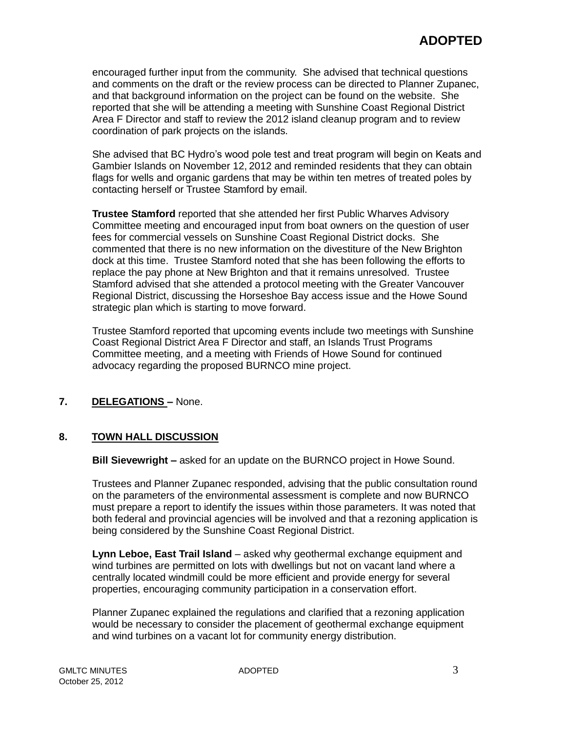encouraged further input from the community. She advised that technical questions and comments on the draft or the review process can be directed to Planner Zupanec, and that background information on the project can be found on the website. She reported that she will be attending a meeting with Sunshine Coast Regional District Area F Director and staff to review the 2012 island cleanup program and to review coordination of park projects on the islands.

She advised that BC Hydro's wood pole test and treat program will begin on Keats and Gambier Islands on November 12, 2012 and reminded residents that they can obtain flags for wells and organic gardens that may be within ten metres of treated poles by contacting herself or Trustee Stamford by email.

**Trustee Stamford** reported that she attended her first Public Wharves Advisory Committee meeting and encouraged input from boat owners on the question of user fees for commercial vessels on Sunshine Coast Regional District docks. She commented that there is no new information on the divestiture of the New Brighton dock at this time. Trustee Stamford noted that she has been following the efforts to replace the pay phone at New Brighton and that it remains unresolved. Trustee Stamford advised that she attended a protocol meeting with the Greater Vancouver Regional District, discussing the Horseshoe Bay access issue and the Howe Sound strategic plan which is starting to move forward.

Trustee Stamford reported that upcoming events include two meetings with Sunshine Coast Regional District Area F Director and staff, an Islands Trust Programs Committee meeting, and a meeting with Friends of Howe Sound for continued advocacy regarding the proposed BURNCO mine project.

# **7. DELEGATIONS –** None.

## **8. TOWN HALL DISCUSSION**

**Bill Sievewright –** asked for an update on the BURNCO project in Howe Sound.

Trustees and Planner Zupanec responded, advising that the public consultation round on the parameters of the environmental assessment is complete and now BURNCO must prepare a report to identify the issues within those parameters. It was noted that both federal and provincial agencies will be involved and that a rezoning application is being considered by the Sunshine Coast Regional District.

**Lynn Leboe, East Trail Island** – asked why geothermal exchange equipment and wind turbines are permitted on lots with dwellings but not on vacant land where a centrally located windmill could be more efficient and provide energy for several properties, encouraging community participation in a conservation effort.

Planner Zupanec explained the regulations and clarified that a rezoning application would be necessary to consider the placement of geothermal exchange equipment and wind turbines on a vacant lot for community energy distribution.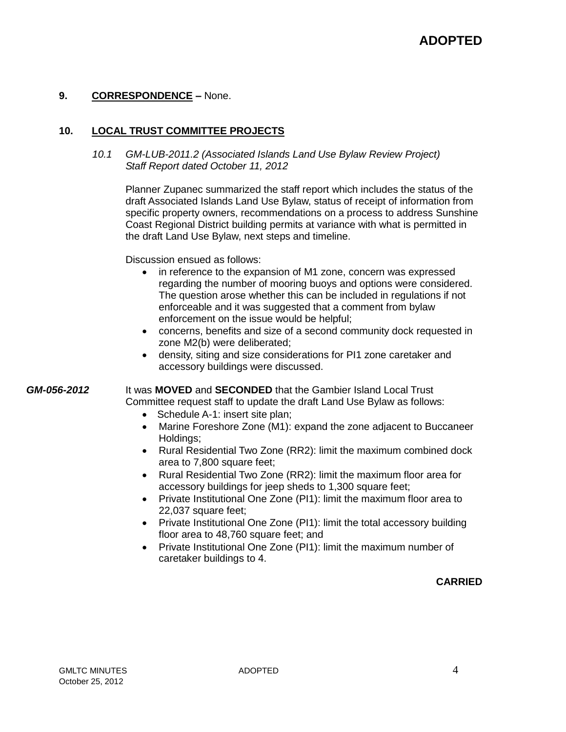# **9. CORRESPONDENCE –** None.

## **10. LOCAL TRUST COMMITTEE PROJECTS**

*10.1 GM-LUB-2011.2 (Associated Islands Land Use Bylaw Review Project) Staff Report dated October 11, 2012*

Planner Zupanec summarized the staff report which includes the status of the draft Associated Islands Land Use Bylaw, status of receipt of information from specific property owners, recommendations on a process to address Sunshine Coast Regional District building permits at variance with what is permitted in the draft Land Use Bylaw, next steps and timeline.

Discussion ensued as follows:

- in reference to the expansion of M1 zone, concern was expressed regarding the number of mooring buoys and options were considered. The question arose whether this can be included in regulations if not enforceable and it was suggested that a comment from bylaw enforcement on the issue would be helpful;
- concerns, benefits and size of a second community dock requested in zone M2(b) were deliberated;
- density, siting and size considerations for PI1 zone caretaker and accessory buildings were discussed.

*GM-056-2012* It was **MOVED** and **SECONDED** that the Gambier Island Local Trust Committee request staff to update the draft Land Use Bylaw as follows:

- Schedule A-1: insert site plan;
- Marine Foreshore Zone (M1): expand the zone adjacent to Buccaneer Holdings;
- Rural Residential Two Zone (RR2): limit the maximum combined dock area to 7,800 square feet;
- Rural Residential Two Zone (RR2): limit the maximum floor area for accessory buildings for jeep sheds to 1,300 square feet;
- Private Institutional One Zone (PI1): limit the maximum floor area to 22,037 square feet;
- Private Institutional One Zone (PI1): limit the total accessory building floor area to 48,760 square feet; and
- Private Institutional One Zone (PI1): limit the maximum number of caretaker buildings to 4.

## **CARRIED**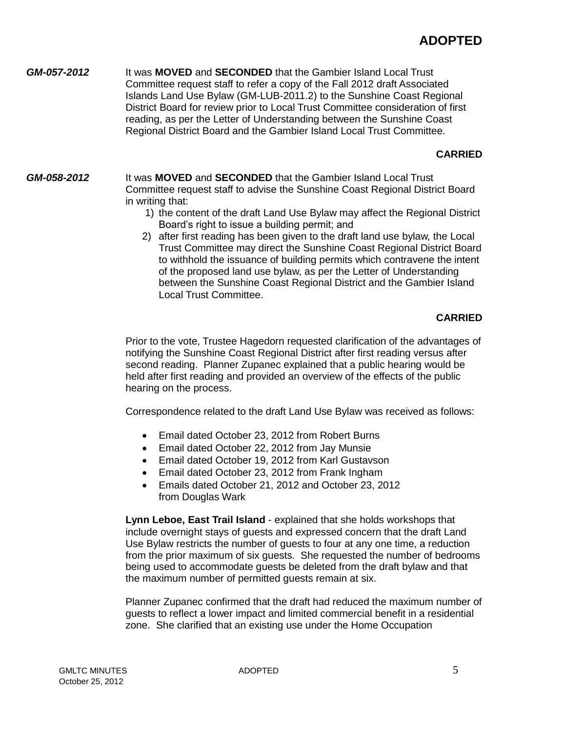*GM-057-2012* It was **MOVED** and **SECONDED** that the Gambier Island Local Trust Committee request staff to refer a copy of the Fall 2012 draft Associated Islands Land Use Bylaw (GM-LUB-2011.2) to the Sunshine Coast Regional District Board for review prior to Local Trust Committee consideration of first reading, as per the Letter of Understanding between the Sunshine Coast Regional District Board and the Gambier Island Local Trust Committee.

# **CARRIED**

*GM-058-2012* It was **MOVED** and **SECONDED** that the Gambier Island Local Trust Committee request staff to advise the Sunshine Coast Regional District Board in writing that:

- 1) the content of the draft Land Use Bylaw may affect the Regional District Board's right to issue a building permit; and
- 2) after first reading has been given to the draft land use bylaw, the Local Trust Committee may direct the Sunshine Coast Regional District Board to withhold the issuance of building permits which contravene the intent of the proposed land use bylaw, as per the Letter of Understanding between the Sunshine Coast Regional District and the Gambier Island Local Trust Committee.

# **CARRIED**

Prior to the vote, Trustee Hagedorn requested clarification of the advantages of notifying the Sunshine Coast Regional District after first reading versus after second reading. Planner Zupanec explained that a public hearing would be held after first reading and provided an overview of the effects of the public hearing on the process.

Correspondence related to the draft Land Use Bylaw was received as follows:

- Email dated October 23, 2012 from Robert Burns
- Email dated October 22, 2012 from Jay Munsie
- Email dated October 19, 2012 from Karl Gustavson
- Email dated October 23, 2012 from Frank Ingham
- Emails dated October 21, 2012 and October 23, 2012 from Douglas Wark

**Lynn Leboe, East Trail Island** - explained that she holds workshops that include overnight stays of guests and expressed concern that the draft Land Use Bylaw restricts the number of guests to four at any one time, a reduction from the prior maximum of six guests. She requested the number of bedrooms being used to accommodate guests be deleted from the draft bylaw and that the maximum number of permitted guests remain at six.

Planner Zupanec confirmed that the draft had reduced the maximum number of guests to reflect a lower impact and limited commercial benefit in a residential zone. She clarified that an existing use under the Home Occupation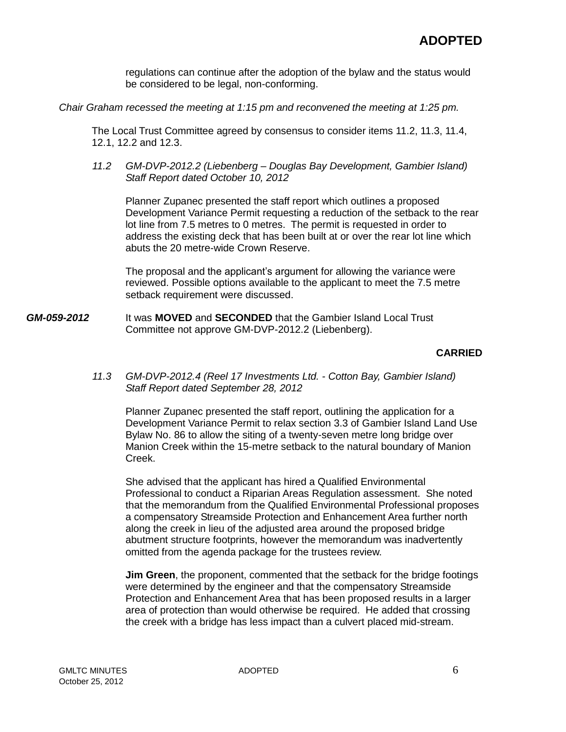regulations can continue after the adoption of the bylaw and the status would be considered to be legal, non-conforming.

*Chair Graham recessed the meeting at 1:15 pm and reconvened the meeting at 1:25 pm.*

The Local Trust Committee agreed by consensus to consider items 11.2, 11.3, 11.4, 12.1, 12.2 and 12.3.

*11.2 GM-DVP-2012.2 (Liebenberg – Douglas Bay Development, Gambier Island) Staff Report dated October 10, 2012*

Planner Zupanec presented the staff report which outlines a proposed Development Variance Permit requesting a reduction of the setback to the rear lot line from 7.5 metres to 0 metres. The permit is requested in order to address the existing deck that has been built at or over the rear lot line which abuts the 20 metre-wide Crown Reserve.

The proposal and the applicant's argument for allowing the variance were reviewed. Possible options available to the applicant to meet the 7.5 metre setback requirement were discussed.

*GM-059-2012* It was **MOVED** and **SECONDED** that the Gambier Island Local Trust Committee not approve GM-DVP-2012.2 (Liebenberg).

## **CARRIED**

*11.3 GM-DVP-2012.4 (Reel 17 Investments Ltd. - Cotton Bay, Gambier Island) Staff Report dated September 28, 2012*

Planner Zupanec presented the staff report, outlining the application for a Development Variance Permit to relax section 3.3 of Gambier Island Land Use Bylaw No. 86 to allow the siting of a twenty-seven metre long bridge over Manion Creek within the 15-metre setback to the natural boundary of Manion Creek.

She advised that the applicant has hired a Qualified Environmental Professional to conduct a Riparian Areas Regulation assessment. She noted that the memorandum from the Qualified Environmental Professional proposes a compensatory Streamside Protection and Enhancement Area further north along the creek in lieu of the adjusted area around the proposed bridge abutment structure footprints, however the memorandum was inadvertently omitted from the agenda package for the trustees review.

**Jim Green**, the proponent, commented that the setback for the bridge footings were determined by the engineer and that the compensatory Streamside Protection and Enhancement Area that has been proposed results in a larger area of protection than would otherwise be required. He added that crossing the creek with a bridge has less impact than a culvert placed mid-stream.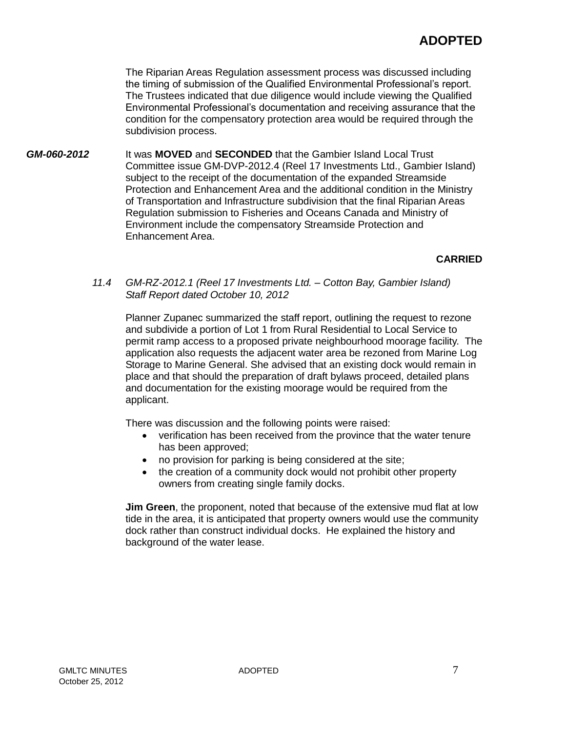The Riparian Areas Regulation assessment process was discussed including the timing of submission of the Qualified Environmental Professional's report. The Trustees indicated that due diligence would include viewing the Qualified Environmental Professional's documentation and receiving assurance that the condition for the compensatory protection area would be required through the subdivision process.

*GM-060-2012* It was **MOVED** and **SECONDED** that the Gambier Island Local Trust Committee issue GM-DVP-2012.4 (Reel 17 Investments Ltd., Gambier Island) subject to the receipt of the documentation of the expanded Streamside Protection and Enhancement Area and the additional condition in the Ministry of Transportation and Infrastructure subdivision that the final Riparian Areas Regulation submission to Fisheries and Oceans Canada and Ministry of Environment include the compensatory Streamside Protection and Enhancement Area.

# **CARRIED**

*11.4 GM-RZ-2012.1 (Reel 17 Investments Ltd. – Cotton Bay, Gambier Island) Staff Report dated October 10, 2012*

Planner Zupanec summarized the staff report, outlining the request to rezone and subdivide a portion of Lot 1 from Rural Residential to Local Service to permit ramp access to a proposed private neighbourhood moorage facility. The application also requests the adjacent water area be rezoned from Marine Log Storage to Marine General. She advised that an existing dock would remain in place and that should the preparation of draft bylaws proceed, detailed plans and documentation for the existing moorage would be required from the applicant.

There was discussion and the following points were raised:

- verification has been received from the province that the water tenure has been approved;
- no provision for parking is being considered at the site;
- the creation of a community dock would not prohibit other property owners from creating single family docks.

**Jim Green**, the proponent, noted that because of the extensive mud flat at low tide in the area, it is anticipated that property owners would use the community dock rather than construct individual docks. He explained the history and background of the water lease.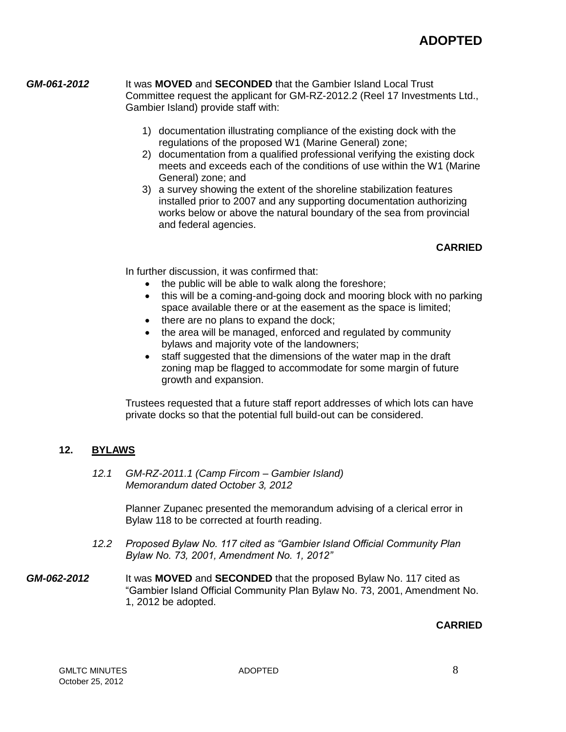#### *GM-061-2012* It was **MOVED** and **SECONDED** that the Gambier Island Local Trust Committee request the applicant for GM-RZ-2012.2 (Reel 17 Investments Ltd., Gambier Island) provide staff with:

- 1) documentation illustrating compliance of the existing dock with the regulations of the proposed W1 (Marine General) zone;
- 2) documentation from a qualified professional verifying the existing dock meets and exceeds each of the conditions of use within the W1 (Marine General) zone; and
- 3) a survey showing the extent of the shoreline stabilization features installed prior to 2007 and any supporting documentation authorizing works below or above the natural boundary of the sea from provincial and federal agencies.

# **CARRIED**

In further discussion, it was confirmed that:

- the public will be able to walk along the foreshore;
- this will be a coming-and-going dock and mooring block with no parking space available there or at the easement as the space is limited;
- there are no plans to expand the dock;
- the area will be managed, enforced and regulated by community bylaws and majority vote of the landowners;
- staff suggested that the dimensions of the water map in the draft zoning map be flagged to accommodate for some margin of future growth and expansion.

Trustees requested that a future staff report addresses of which lots can have private docks so that the potential full build-out can be considered.

# **12. BYLAWS**

*12.1 GM-RZ-2011.1 (Camp Fircom – Gambier Island) Memorandum dated October 3, 2012*

> Planner Zupanec presented the memorandum advising of a clerical error in Bylaw 118 to be corrected at fourth reading.

- *12.2 Proposed Bylaw No. 117 cited as "Gambier Island Official Community Plan Bylaw No. 73, 2001, Amendment No. 1, 2012"*
- *GM-062-2012* It was **MOVED** and **SECONDED** that the proposed Bylaw No. 117 cited as "Gambier Island Official Community Plan Bylaw No. 73, 2001, Amendment No. 1, 2012 be adopted.

## **CARRIED**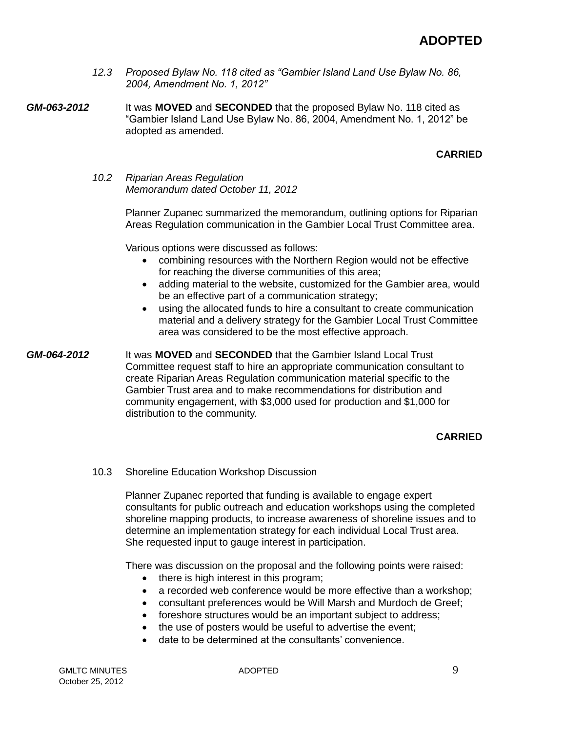- *12.3 Proposed Bylaw No. 118 cited as "Gambier Island Land Use Bylaw No. 86, 2004, Amendment No. 1, 2012"*
- *GM-063-2012* It was **MOVED** and **SECONDED** that the proposed Bylaw No. 118 cited as "Gambier Island Land Use Bylaw No. 86, 2004, Amendment No. 1, 2012" be adopted as amended.

# **CARRIED**

*10.2 Riparian Areas Regulation Memorandum dated October 11, 2012*

> Planner Zupanec summarized the memorandum, outlining options for Riparian Areas Regulation communication in the Gambier Local Trust Committee area.

Various options were discussed as follows:

- combining resources with the Northern Region would not be effective for reaching the diverse communities of this area;
- adding material to the website, customized for the Gambier area, would be an effective part of a communication strategy;
- using the allocated funds to hire a consultant to create communication material and a delivery strategy for the Gambier Local Trust Committee area was considered to be the most effective approach.

*GM-064-2012* It was **MOVED** and **SECONDED** that the Gambier Island Local Trust Committee request staff to hire an appropriate communication consultant to create Riparian Areas Regulation communication material specific to the Gambier Trust area and to make recommendations for distribution and community engagement, with \$3,000 used for production and \$1,000 for distribution to the community.

# **CARRIED**

#### 10.3 Shoreline Education Workshop Discussion

Planner Zupanec reported that funding is available to engage expert consultants for public outreach and education workshops using the completed shoreline mapping products, to increase awareness of shoreline issues and to determine an implementation strategy for each individual Local Trust area. She requested input to gauge interest in participation.

There was discussion on the proposal and the following points were raised:

- there is high interest in this program;
- a recorded web conference would be more effective than a workshop;
- consultant preferences would be Will Marsh and Murdoch de Greef;
- foreshore structures would be an important subject to address;
- the use of posters would be useful to advertise the event:
- date to be determined at the consultants' convenience.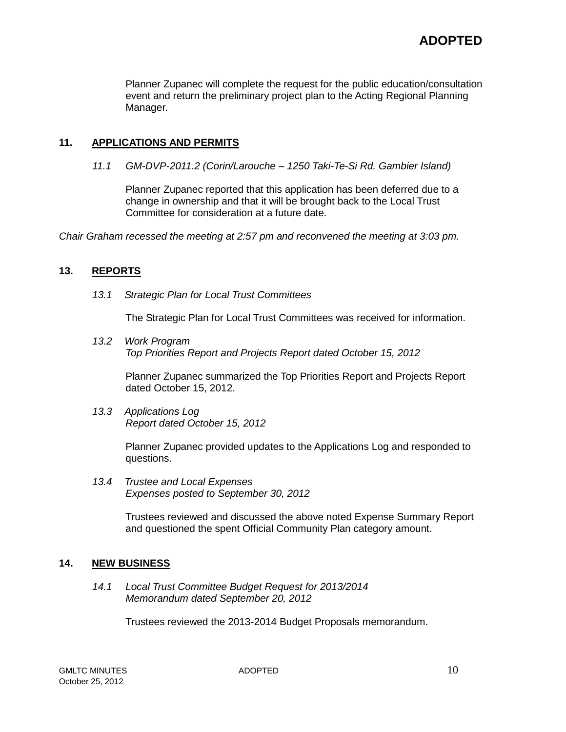Planner Zupanec will complete the request for the public education/consultation event and return the preliminary project plan to the Acting Regional Planning Manager.

# **11. APPLICATIONS AND PERMITS**

*11.1 GM-DVP-2011.2 (Corin/Larouche – 1250 Taki-Te-Si Rd. Gambier Island)*

Planner Zupanec reported that this application has been deferred due to a change in ownership and that it will be brought back to the Local Trust Committee for consideration at a future date.

*Chair Graham recessed the meeting at 2:57 pm and reconvened the meeting at 3:03 pm.*

## **13. REPORTS**

*13.1 Strategic Plan for Local Trust Committees*

The Strategic Plan for Local Trust Committees was received for information.

*13.2 Work Program Top Priorities Report and Projects Report dated October 15, 2012*

Planner Zupanec summarized the Top Priorities Report and Projects Report dated October 15, 2012.

*13.3 Applications Log Report dated October 15, 2012*

> Planner Zupanec provided updates to the Applications Log and responded to questions.

*13.4 Trustee and Local Expenses Expenses posted to September 30, 2012*

> Trustees reviewed and discussed the above noted Expense Summary Report and questioned the spent Official Community Plan category amount.

## **14. NEW BUSINESS**

*14.1 Local Trust Committee Budget Request for 2013/2014 Memorandum dated September 20, 2012*

Trustees reviewed the 2013-2014 Budget Proposals memorandum.